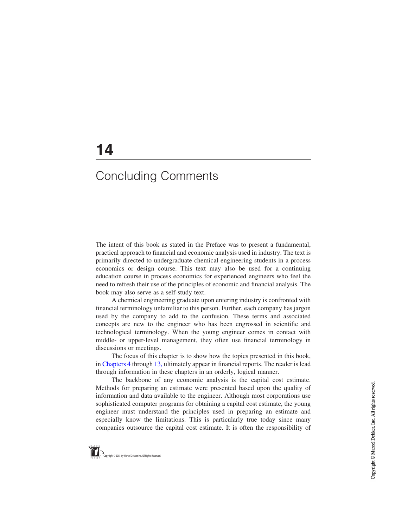## 14

## Concluding Comments

The intent of this book as stated in the Preface was to present a fundamental, practical approach to financial and economic analysis used in industry. The text is primarily directed to undergraduate chemical engineering students in a process economics or design course. This text may also be used for a continuing education course in process economics for experienced engineers who feel the need to refresh their use of the principles of economic and financial analysis. The book may also serve as a self-study text.

A chemical engineering graduate upon entering industry is confronted with financial terminology unfamiliar to this person. Further, each company has jargon used by the company to add to the confusion. These terms and associated concepts are new to the engineer who has been engrossed in scientific and technological terminology. When the young engineer comes in contact with middle- or upper-level management, they often use financial terminology in discussions or meetings.

The focus of this chapter is to show how the topics presented in this book, in Chapters 4 through 13, ultimately appear in financial reports. The reader is lead through information in these chapters in an orderly, logical manner.

The backbone of any economic analysis is the capital cost estimate. Methods for preparing an estimate were presented based upon the quality of information and data available to the engineer. Although most corporations use sophisticated computer programs for obtaining a capital cost estimate, the young engineer must understand the principles used in preparing an estimate and especially know the limitations. This is particularly true today since many companies outsource the capital cost estimate. It is often the responsibility of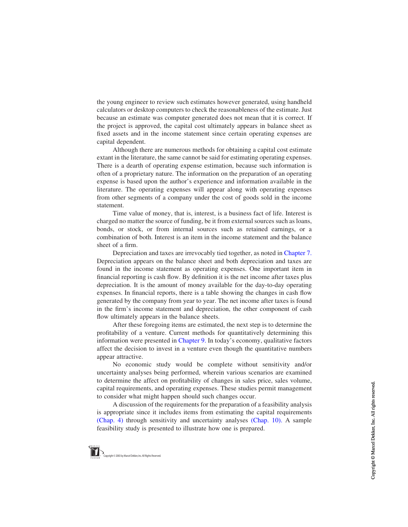the young engineer to review such estimates however generated, using handheld calculators or desktop computers to check the reasonableness of the estimate. Just because an estimate was computer generated does not mean that it is correct. If the project is approved, the capital cost ultimately appears in balance sheet as fixed assets and in the income statement since certain operating expenses are capital dependent.

Although there are numerous methods for obtaining a capital cost estimate extant in the literature, the same cannot be said for estimating operating expenses. There is a dearth of operating expense estimation, because such information is often of a proprietary nature. The information on the preparation of an operating expense is based upon the author's experience and information available in the literature. The operating expenses will appear along with operating expenses from other segments of a company under the cost of goods sold in the income statement.

Time value of money, that is, interest, is a business fact of life. Interest is charged no matter the source of funding, be it from external sources such as loans, bonds, or stock, or from internal sources such as retained earnings, or a combination of both. Interest is an item in the income statement and the balance sheet of a firm.

Depreciation and taxes are irrevocably tied together, as noted in Chapter 7. Depreciation appears on the balance sheet and both depreciation and taxes are found in the income statement as operating expenses. One important item in financial reporting is cash flow. By definition it is the net income after taxes plus depreciation. It is the amount of money available for the day-to-day operating expenses. In financial reports, there is a table showing the changes in cash flow generated by the company from year to year. The net income after taxes is found in the firm's income statement and depreciation, the other component of cash flow ultimately appears in the balance sheets.

After these foregoing items are estimated, the next step is to determine the profitability of a venture. Current methods for quantitatively determining this information were presented in Chapter 9. In today's economy, qualitative factors affect the decision to invest in a venture even though the quantitative numbers appear attractive.

No economic study would be complete without sensitivity and/or uncertainty analyses being performed, wherein various scenarios are examined to determine the affect on profitability of changes in sales price, sales volume, capital requirements, and operating expenses. These studies permit management to consider what might happen should such changes occur.

A discussion of the requirements for the preparation of a feasibility analysis is appropriate since it includes items from estimating the capital requirements (Chap. 4) through sensitivity and uncertainty analyses (Chap. 10). A sample feasibility study is presented to illustrate how one is prepared.